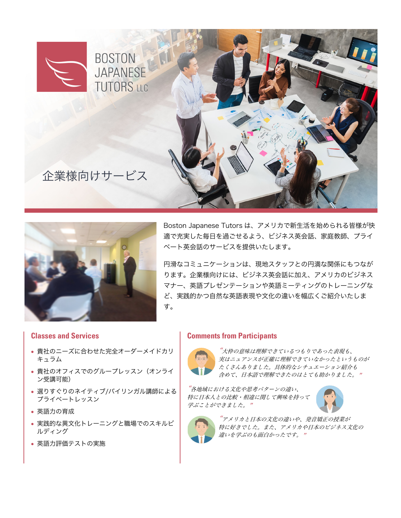



Boston Japanese Tutors は、アメリカで新生活を始められる皆様が快 適で充実した毎日を過ごせるよう、ビジネス英会話、家庭教師、プライ ベート英会話のサービスを提供いたします。

円滑なコミュニケーションは、現地スタッフとの円満な関係にもつなが ります。企業様向けには、ビジネス英会話に加え、アメリカのビジネス マナー、英語プレゼンテーションや英語ミーティングのトレーニングな ど、実践的かつ自然な英語表現や文化の違いを幅広くご紹介いたしま す。

#### **Classes and Services**

- 貴社のニーズに合わせた完全オーダーメイドカリ キュラム
- 貴社のオフィスでのグループレッスン(オンライ ン受講可能)
- 選りすぐりのネイティブ/バイリンガル講師による プライベートレッスン
- 英語力の育成
- 実践的な異文化トレーニングと職場でのスキルビ ルディング
- 英語力評価テストの実施

#### **Comments from Participants**



"大枠の意味は理解できているつもりであった表現も、 実はニュアンスが正確に理解できていなかったというものが たくさんありました。具体的なシチュエーション紹介も 含めて、日本語で理解できたのはとても助かりました。"

"各地域における文化や思考パターンの違い、 特に日本人との比較・相違に関して興味を持って 学ぶことができました。"





"アメリカと日本の文化の違いや、発音矯正の授業が 特に好きでした。また、アメリカや日本のビジネス文化の 違いを学ぶのも面白かったです。"